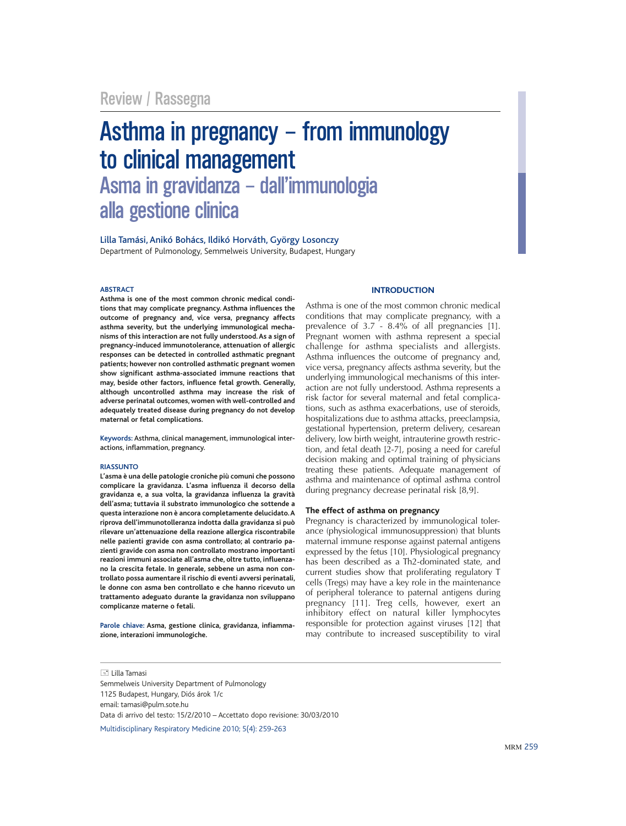# Asthma in pregnancy – from immunology to clinical management Asma in gravidanza – dall'immunologia alla gestione clinica

# Lilla Tamási, Anikó Bohács, Ildikó Horváth, György Losonczy

Department of Pulmonology, Semmelweis University, Budapest, Hungary

#### **ABSTRACT**

**Asthma is one of the most common chronic medical conditions that may complicate pregnancy. Asthma influences the outcome of pregnancy and, vice versa, pregnancy affects asthma severity, but the underlying immunological mechanisms of this interaction are not fully understood. As a sign of pregnancy-induced immunotolerance, attenuation of allergic responses can be detected in controlled asthmatic pregnant patients; however non controlled asthmatic pregnant women show significant asthma-associated immune reactions that may, beside other factors, influence fetal growth. Generally, although uncontrolled asthma may increase the risk of adverse perinatal outcomes, women with well-controlled and adequately treated disease during pregnancy do not develop maternal or fetal complications.** 

**Keywords:** Asthma, clinical management, immunological interactions, inflammation, pregnancy.

#### **RIASSUNTO**

**L'asma è una delle patologie croniche più comuni che possono complicare la gravidanza. L'asma influenza il decorso della gravidanza e, a sua volta, la gravidanza influenza la gravità dell'asma; tuttavia il substrato immunologico che sottende a questa interazione non è ancora completamente delucidato. A riprova dell'immunotolleranza indotta dalla gravidanza si può rilevare un'attenuazione della reazione allergica riscontrabile nelle pazienti gravide con asma controllato; al contrario pazienti gravide con asma non controllato mostrano importanti reazioni immuni associate all'asma che, oltre tutto, influenzano la crescita fetale. In generale, sebbene un asma non controllato possa aumentare il rischio di eventi avversi perinatali, le donne con asma ben controllato e che hanno ricevuto un trattamento adeguato durante la gravidanza non sviluppano complicanze materne o fetali.**

**Parole chiave: Asma, gestione clinica, gravidanza, infiammazione, interazioni immunologiche.** 

### **INTRODUCTION**

Asthma is one of the most common chronic medical conditions that may complicate pregnancy, with a prevalence of 3.7 - 8.4% of all pregnancies [1]. Pregnant women with asthma represent a special challenge for asthma specialists and allergists. Asthma influences the outcome of pregnancy and, vice versa, pregnancy affects asthma severity, but the underlying immunological mechanisms of this interaction are not fully understood. Asthma represents a risk factor for several maternal and fetal complications, such as asthma exacerbations, use of steroids, hospitalizations due to asthma attacks, preeclampsia, gestational hypertension, preterm delivery, cesarean delivery, low birth weight, intrauterine growth restriction, and fetal death [2-7], posing a need for careful decision making and optimal training of physicians treating these patients. Adequate management of asthma and maintenance of optimal asthma control during pregnancy decrease perinatal risk [8,9].

#### **The effect of asthma on pregnancy**

Pregnancy is characterized by immunological tolerance (physiological immunosuppression) that blunts maternal immune response against paternal antigens expressed by the fetus [10]. Physiological pregnancy has been described as a Th2-dominated state, and current studies show that proliferating regulatory T cells (Tregs) may have a key role in the maintenance of peripheral tolerance to paternal antigens during pregnancy [11]. Treg cells, however, exert an inhibitory effect on natural killer lymphocytes responsible for protection against viruses [12] that may contribute to increased susceptibility to viral

 $\equiv$  Lilla Tamasi

Semmelweis University Department of Pulmonology 1125 Budapest, Hungary, Diós árok 1/c email: tamasi@pulm.sote.hu Data di arrivo del testo: 15/2/2010 – Accettato dopo revisione: 30/03/2010 Multidisciplinary Respiratory Medicine 2010; 5(4): 259-263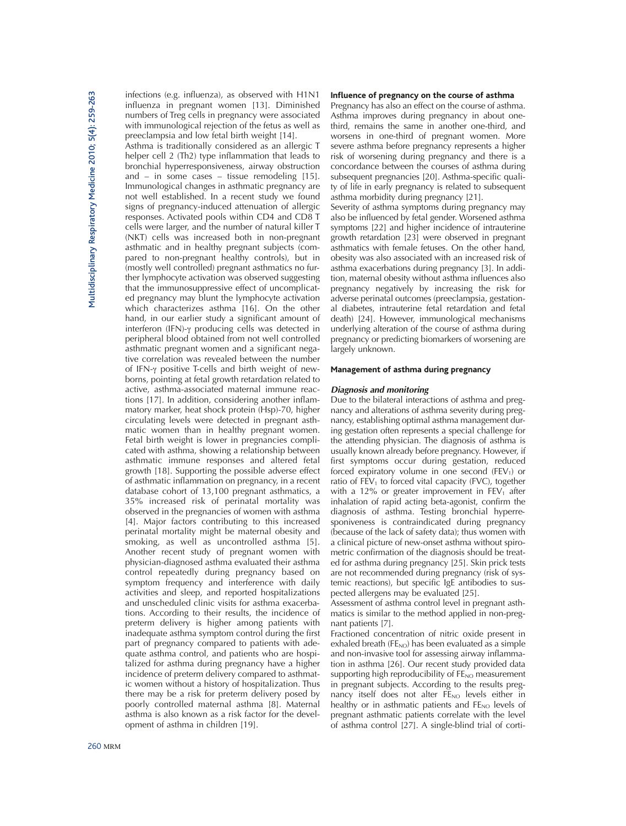infections (e.g. influenza), as observed with H1N1 influenza in pregnant women [13]. Diminished numbers of Treg cells in pregnancy were associated with immunological rejection of the fetus as well as preeclampsia and low fetal birth weight [14].

Asthma is traditionally considered as an allergic T helper cell 2 (Th2) type inflammation that leads to bronchial hyperresponsiveness, airway obstruction and – in some cases – tissue remodeling  $[15]$ . Immunological changes in asthmatic pregnancy are not well established. In a recent study we found signs of pregnancy-induced attenuation of allergic responses. Activated pools within CD4 and CD8 T cells were larger, and the number of natural killer T (NKT) cells was increased both in non-pregnant asthmatic and in healthy pregnant subjects (compared to non-pregnant healthy controls), but in (mostly well controlled) pregnant asthmatics no further lymphocyte activation was observed suggesting that the immunosuppressive effect of uncomplicated pregnancy may blunt the lymphocyte activation which characterizes asthma [16]. On the other hand, in our earlier study a significant amount of interferon (IFN)-γ producing cells was detected in peripheral blood obtained from not well controlled asthmatic pregnant women and a significant negative correlation was revealed between the number of IFN-γ positive T-cells and birth weight of newborns, pointing at fetal growth retardation related to active, asthma-associated maternal immune reactions [17]. In addition, considering another inflammatory marker, heat shock protein (Hsp)-70, higher circulating levels were detected in pregnant asthmatic women than in healthy pregnant women. Fetal birth weight is lower in pregnancies complicated with asthma, showing a relationship between asthmatic immune responses and altered fetal growth [18]. Supporting the possible adverse effect of asthmatic inflammation on pregnancy, in a recent database cohort of 13,100 pregnant asthmatics, a 35% increased risk of perinatal mortality was observed in the pregnancies of women with asthma [4]. Major factors contributing to this increased perinatal mortality might be maternal obesity and smoking, as well as uncontrolled asthma [5]. Another recent study of pregnant women with physician-diagnosed asthma evaluated their asthma control repeatedly during pregnancy based on symptom frequency and interference with daily activities and sleep, and reported hospitalizations and unscheduled clinic visits for asthma exacerbations. According to their results, the incidence of preterm delivery is higher among patients with inadequate asthma symptom control during the first part of pregnancy compared to patients with adequate asthma control, and patients who are hospitalized for asthma during pregnancy have a higher incidence of preterm delivery compared to asthmatic women without a history of hospitalization. Thus there may be a risk for preterm delivery posed by poorly controlled maternal asthma [8]. Maternal asthma is also known as a risk factor for the development of asthma in children [19].

## **Influence of pregnancy on the course of asthma**

Pregnancy has also an effect on the course of asthma. Asthma improves during pregnancy in about onethird, remains the same in another one-third, and worsens in one-third of pregnant women. More severe asthma before pregnancy represents a higher risk of worsening during pregnancy and there is a concordance between the courses of asthma during subsequent pregnancies [20]. Asthma-specific quality of life in early pregnancy is related to subsequent asthma morbidity during pregnancy [21].

Severity of asthma symptoms during pregnancy may also be influenced by fetal gender. Worsened asthma symptoms [22] and higher incidence of intrauterine growth retardation [23] were observed in pregnant asthmatics with female fetuses. On the other hand, obesity was also associated with an increased risk of asthma exacerbations during pregnancy [3]. In addition, maternal obesity without asthma influences also pregnancy negatively by increasing the risk for adverse perinatal outcomes (preeclampsia, gestational diabetes, intrauterine fetal retardation and fetal death) [24]. However, immunological mechanisms underlying alteration of the course of asthma during pregnancy or predicting biomarkers of worsening are largely unknown.

#### **Management of asthma during pregnancy**

#### **Diagnosis and monitoring**

Due to the bilateral interactions of asthma and pregnancy and alterations of asthma severity during pregnancy, establishing optimal asthma management during gestation often represents a special challenge for the attending physician. The diagnosis of asthma is usually known already before pregnancy. However, if first symptoms occur during gestation, reduced forced expiratory volume in one second (FEV<sub>1</sub>) or ratio of  $FEV<sub>1</sub>$  to forced vital capacity (FVC), together with a 12% or greater improvement in  $FEV<sub>1</sub>$  after inhalation of rapid acting beta-agonist, confirm the diagnosis of asthma. Testing bronchial hyperresponiveness is contraindicated during pregnancy (because of the lack of safety data); thus women with a clinical picture of new-onset asthma without spirometric confirmation of the diagnosis should be treated for asthma during pregnancy [25]. Skin prick tests are not recommended during pregnancy (risk of systemic reactions), but specific IgE antibodies to suspected allergens may be evaluated [25].

Assessment of asthma control level in pregnant asthmatics is similar to the method applied in non-pregnant patients [7].

Fractioned concentration of nitric oxide present in exhaled breath (FE<sub>NO</sub>) has been evaluated as a simple and non-invasive tool for assessing airway inflammation in asthma [26]. Our recent study provided data supporting high reproducibility of  $FE_{NO}$  measurement in pregnant subjects. According to the results pregnancy itself does not alter  $\widetilde{FE}_{NO}$  levels either in healthy or in asthmatic patients and  $FE_{NO}$  levels of pregnant asthmatic patients correlate with the level of asthma control [27]. A single-blind trial of corti-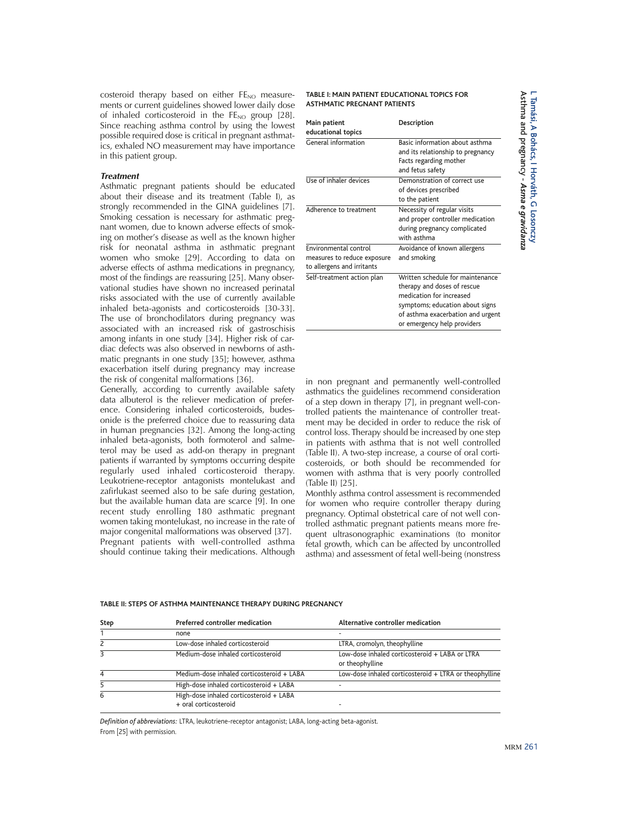costeroid therapy based on either  $FE<sub>NO</sub>$  measurements or current guidelines showed lower daily dose of inhaled corticosteroid in the  $FE_{NO}$  group [28]. Since reaching asthma control by using the lowest possible required dose is critical in pregnant asthmatics, exhaled NO measurement may have importance in this patient group.

# **Treatment**

Asthmatic pregnant patients should be educated about their disease and its treatment (Table I), as strongly recommended in the GINA guidelines [7]. Smoking cessation is necessary for asthmatic pregnant women, due to known adverse effects of smoking on mother's disease as well as the known higher risk for neonatal asthma in asthmatic pregnant women who smoke [29]. According to data on adverse effects of asthma medications in pregnancy, most of the findings are reassuring [25]. Many observational studies have shown no increased perinatal risks associated with the use of currently available inhaled beta-agonists and corticosteroids [30-33]. The use of bronchodilators during pregnancy was associated with an increased risk of gastroschisis among infants in one study [34]. Higher risk of cardiac defects was also observed in newborns of asthmatic pregnants in one study [35]; however, asthma exacerbation itself during pregnancy may increase the risk of congenital malformations [36].

Generally, according to currently available safety data albuterol is the reliever medication of preference. Considering inhaled corticosteroids, budesonide is the preferred choice due to reassuring data in human pregnancies [32]. Among the long-acting inhaled beta-agonists, both formoterol and salmeterol may be used as add-on therapy in pregnant patients if warranted by symptoms occurring despite regularly used inhaled corticosteroid therapy. Leukotriene-receptor antagonists montelukast and zafirlukast seemed also to be safe during gestation, but the available human data are scarce [9]. In one recent study enrolling 180 asthmatic pregnant women taking montelukast, no increase in the rate of major congenital malformations was observed [37].

Pregnant patients with well-controlled asthma should continue taking their medications. Although

## **TABLE I: MAIN PATIENT EDUCATIONAL TOPICS FOR ASTHMATIC PREGNANT PATIENTS**

| Main patient<br>educational topics                                                 | Description                                                                                                                                                                                        |
|------------------------------------------------------------------------------------|----------------------------------------------------------------------------------------------------------------------------------------------------------------------------------------------------|
| General information                                                                | Basic information about asthma<br>and its relationship to pregnancy<br>Facts regarding mother<br>and fetus safety                                                                                  |
| Use of inhaler devices                                                             | Demonstration of correct use<br>of devices prescribed<br>to the patient                                                                                                                            |
| Adherence to treatment                                                             | Necessity of regular visits<br>and proper controller medication<br>during pregnancy complicated<br>with asthma                                                                                     |
| Environmental control<br>measures to reduce exposure<br>to allergens and irritants | Avoidance of known allergens<br>and smoking                                                                                                                                                        |
| Self-treatment action plan                                                         | Written schedule for maintenance<br>therapy and doses of rescue<br>medication for increased<br>symptoms; education about signs<br>of asthma exacerbation and urgent<br>or emergency help providers |

in non pregnant and permanently well-controlled asthmatics the guidelines recommend consideration of a step down in therapy [7], in pregnant well-controlled patients the maintenance of controller treatment may be decided in order to reduce the risk of control loss. Therapy should be increased by one step in patients with asthma that is not well controlled (Table II). A two-step increase, a course of oral corticosteroids, or both should be recommended for women with asthma that is very poorly controlled (Table II) [25].

Monthly asthma control assessment is recommended for women who require controller therapy during pregnancy. Optimal obstetrical care of not well controlled asthmatic pregnant patients means more frequent ultrasonographic examinations (to monitor fetal growth, which can be affected by uncontrolled asthma) and assessment of fetal well-being (nonstress

| <b>Step</b> | Preferred controller medication                                  | Alternative controller medication                                 |
|-------------|------------------------------------------------------------------|-------------------------------------------------------------------|
|             | none                                                             |                                                                   |
| 2           | Low-dose inhaled corticosteroid                                  | LTRA, cromolyn, theophylline                                      |
| 3           | Medium-dose inhaled corticosteroid                               | Low-dose inhaled corticosteroid + LABA or LTRA<br>or theophylline |
| 4           | Medium-dose inhaled corticosteroid + LABA                        | Low-dose inhaled corticosteroid + LTRA or theophylline            |
|             | High-dose inhaled corticosteroid + LABA                          |                                                                   |
| 6           | High-dose inhaled corticosteroid + LABA<br>+ oral corticosteroid |                                                                   |

## **TABLE II: STEPS OF ASTHMA MAINTENANCE THERAPY DURING PREGNANCY**

*Definition of abbreviations:* LTRA, leukotriene-receptor antagonist; LABA, long-acting beta-agonist. From [25] with permission.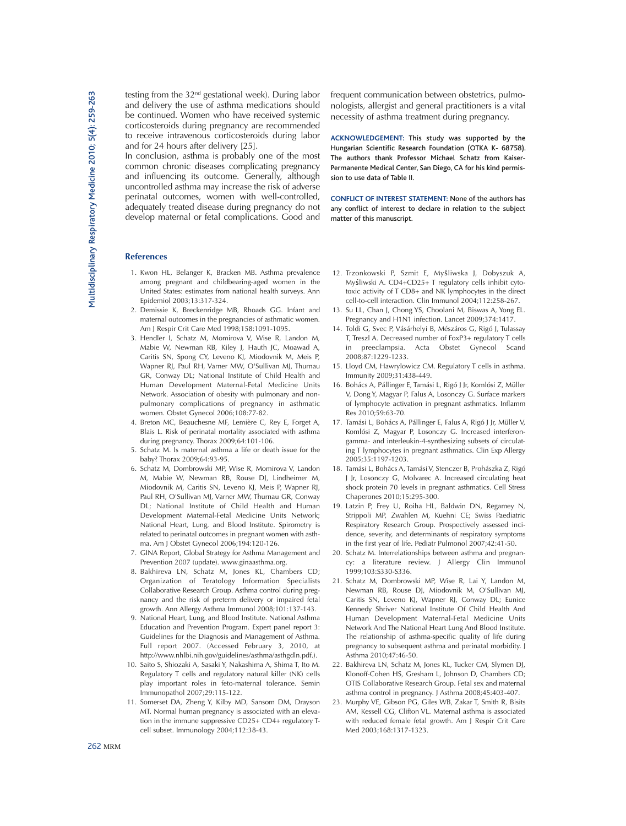testing from the 32<sup>nd</sup> gestational week). During labor and delivery the use of asthma medications should be continued. Women who have received systemic corticosteroids during pregnancy are recommended to receive intravenous corticosteroids during labor and for 24 hours after delivery [25].

In conclusion, asthma is probably one of the most common chronic diseases complicating pregnancy and influencing its outcome. Generally, although uncontrolled asthma may increase the risk of adverse perinatal outcomes, women with well-controlled, adequately treated disease during pregnancy do not develop maternal or fetal complications. Good and

#### **References**

- 1. Kwon HL, Belanger K, Bracken MB. Asthma prevalence among pregnant and childbearing-aged women in the United States: estimates from national health surveys. Ann Epidemiol 2003;13:317-324.
- 2. Demissie K, Breckenridge MB, Rhoads GG. Infant and maternal outcomes in the pregnancies of asthmatic women. Am J Respir Crit Care Med 1998;158:1091-1095.
- 3. Hendler I, Schatz M, Momirova V, Wise R, Landon M, Mabie W, Newman RB, Kiley J, Hauth JC, Moawad A, Caritis SN, Spong CY, Leveno KJ, Miodovnik M, Meis P, Wapner RJ, Paul RH, Varner MW, O'Sullivan MJ, Thurnau GR, Conway DL; National Institute of Child Health and Human Development Maternal-Fetal Medicine Units Network. Association of obesity with pulmonary and nonpulmonary complications of pregnancy in asthmatic women. Obstet Gynecol 2006;108:77-82.
- 4. Breton MC, Beauchesne MF, Lemière C, Rey E, Forget A, Blais L. Risk of perinatal mortality associated with asthma during pregnancy. Thorax 2009;64:101-106.
- 5. Schatz M. Is maternal asthma a life or death issue for the baby? Thorax 2009;64:93-95.
- 6. Schatz M, Dombrowski MP, Wise R, Momirova V, Landon M, Mabie W, Newman RB, Rouse DJ, Lindheimer M, Miodovnik M, Caritis SN, Leveno KJ, Meis P, Wapner RJ, Paul RH, O'Sullivan MJ, Varner MW, Thurnau GR, Conway DL; National Institute of Child Health and Human Development Maternal-Fetal Medicine Units Network; National Heart, Lung, and Blood Institute. Spirometry is related to perinatal outcomes in pregnant women with asthma. Am J Obstet Gynecol 2006;194:120-126.
- 7. GINA Report, Global Strategy for Asthma Management and Prevention 2007 (update). www.ginaasthma.org.
- 8. Bakhireva LN, Schatz M, Jones KL, Chambers CD; Organization of Teratology Information Specialists Collaborative Research Group. Asthma control during pregnancy and the risk of preterm delivery or impaired fetal growth. Ann Allergy Asthma Immunol 2008;101:137-143.
- 9. National Heart, Lung, and Blood Institute. National Asthma Education and Prevention Program. Expert panel report 3: Guidelines for the Diagnosis and Management of Asthma. Full report 2007. (Accessed February 3, 2010, at http://www.nhlbi.nih.gov/guidelines/asthma/asthgdln.pdf.).
- 10. Saito S, Shiozaki A, Sasaki Y, Nakashima A, Shima T, Ito M. Regulatory T cells and regulatory natural killer (NK) cells play important roles in feto-maternal tolerance. Semin Immunopathol 2007;29:115-122.
- 11. Somerset DA, Zheng Y, Kilby MD, Sansom DM, Drayson MT. Normal human pregnancy is associated with an elevation in the immune suppressive CD25+ CD4+ regulatory Tcell subset. Immunology 2004;112:38-43.

frequent communication between obstetrics, pulmonologists, allergist and general practitioners is a vital necessity of asthma treatment during pregnancy.

**ACKNOWLEDGEMENT:** This study was supported by the Hungarian Scientific Research Foundation (OTKA K- 68758). The authors thank Professor Michael Schatz from Kaiser-Permanente Medical Center, San Diego, CA for his kind permission to use data of Table II.

**CONFLICT OF INTEREST STATEMENT:** None of the authors has any conflict of interest to declare in relation to the subject matter of this manuscript.

- 12. Trzonkowski P, Szmit E, Myśliwska J, Dobyszuk A, Myśliwski A. CD4+CD25+ T regulatory cells inhibit cytotoxic activity of T CD8+ and NK lymphocytes in the direct cell-to-cell interaction. Clin Immunol 2004;112:258-267.
- 13. Su LL, Chan J, Chong YS, Choolani M, Biswas A, Yong EL. Pregnancy and H1N1 infection. Lancet 2009;374:1417.
- 14. Toldi G, Svec P, Vásárhelyi B, Mészáros G, Rigó J, Tulassay T, Treszl A. Decreased number of FoxP3+ regulatory T cells in preeclampsia. Acta Obstet Gynecol Scand 2008;87:1229-1233.
- 15. Lloyd CM, Hawrylowicz CM. Regulatory T cells in asthma. Immunity 2009;31:438-449.
- 16. Bohács A, Pállinger E, Tamási L, Rigó J Jr, Komlósi Z, Müller V, Dong Y, Magyar P, Falus A, Losonczy G. Surface markers of lymphocyte activation in pregnant asthmatics. Inflamm Res 2010;59:63-70.
- 17. Tamási L, Bohács A, Pállinger E, Falus A, Rigó J Jr, Müller V, Komlósi Z, Magyar P, Losonczy G. Increased interferongamma- and interleukin-4-synthesizing subsets of circulating T lymphocytes in pregnant asthmatics. Clin Exp Allergy 2005;35:1197-1203.
- 18. Tamási L, Bohács A, Tamási V, Stenczer B, Prohászka Z, Rigó J Jr, Losonczy G, Molvarec A. Increased circulating heat shock protein 70 levels in pregnant asthmatics. Cell Stress Chaperones 2010;15:295-300.
- 19. Latzin P, Frey U, Roiha HL, Baldwin DN, Regamey N, Strippoli MP, Zwahlen M, Kuehni CE; Swiss Paediatric Respiratory Research Group. Prospectively assessed incidence, severity, and determinants of respiratory symptoms in the first year of life. Pediatr Pulmonol 2007;42:41-50.
- 20. Schatz M. Interrelationships between asthma and pregnancy: a literature review. J Allergy Clin Immunol 1999;103:S330-S336.
- 21. Schatz M, Dombrowski MP, Wise R, Lai Y, Landon M, Newman RB, Rouse DJ, Miodovnik M, O'Sullivan MJ, Caritis SN, Leveno KJ, Wapner RJ, Conway DL; Eunice Kennedy Shriver National Institute Of Child Health And Human Development Maternal-Fetal Medicine Units Network And The National Heart Lung And Blood Institute. The relationship of asthma-specific quality of life during pregnancy to subsequent asthma and perinatal morbidity. J Asthma 2010;47:46-50.
- 22. Bakhireva LN, Schatz M, Jones KL, Tucker CM, Slymen DJ, Klonoff-Cohen HS, Gresham L, Johnson D, Chambers CD; OTIS Collaborative Research Group. Fetal sex and maternal asthma control in pregnancy. J Asthma 2008;45:403-407.
- 23. Murphy VE, Gibson PG, Giles WB, Zakar T, Smith R, Bisits AM, Kessell CG, Clifton VL. Maternal asthma is associated with reduced female fetal growth. Am J Respir Crit Care Med 2003;168:1317-1323.